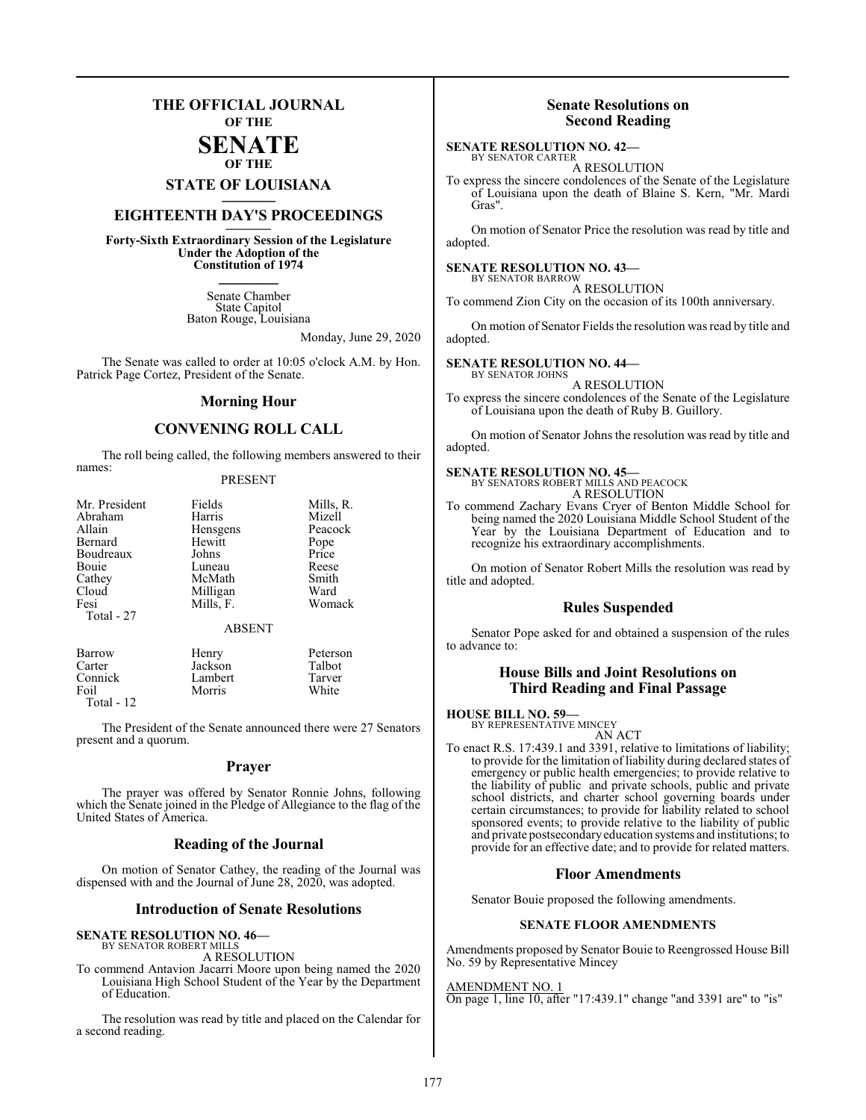### **THE OFFICIAL JOURNAL OF THE**

### **SENATE OF THE**

## **STATE OF LOUISIANA \_\_\_\_\_\_\_**

## **EIGHTEENTH DAY'S PROCEEDINGS \_\_\_\_\_\_\_**

**Forty-Sixth Extraordinary Session of the Legislature Under the Adoption of the Constitution of 1974 \_\_\_\_\_\_\_**

> Senate Chamber State Capitol Baton Rouge, Louisiana

> > Monday, June 29, 2020

The Senate was called to order at 10:05 o'clock A.M. by Hon. Patrick Page Cortez, President of the Senate.

#### **Morning Hour**

#### **CONVENING ROLL CALL**

The roll being called, the following members answered to their names:

#### PRESENT

| Fields        | Mills, R. |
|---------------|-----------|
| Harris        | Mizell    |
| Hensgens      | Peacock   |
| Hewitt        | Pope      |
| Johns         | Price     |
| Luneau        | Reese     |
| McMath        | Smith     |
| Milligan      | Ward      |
| Mills, F.     | Womack    |
|               |           |
| <b>ABSENT</b> |           |
|               |           |

| Barrow       | Henry   | Peterson |
|--------------|---------|----------|
| Carter       | Jackson | Talbot   |
| Connick      | Lambert | Tarver   |
| Foil         | Morris  | White    |
| Total - $12$ |         |          |

The President of the Senate announced there were 27 Senators present and a quorum.

#### **Prayer**

The prayer was offered by Senator Ronnie Johns, following which the Senate joined in the Pledge of Allegiance to the flag of the United States of America.

#### **Reading of the Journal**

On motion of Senator Cathey, the reading of the Journal was dispensed with and the Journal of June 28, 2020, was adopted.

#### **Introduction of Senate Resolutions**

### **SENATE RESOLUTION NO. 46—**

BY SENATOR ROBERT MILLS A RESOLUTION

To commend Antavion Jacarri Moore upon being named the 2020 Louisiana High School Student of the Year by the Department of Education.

The resolution was read by title and placed on the Calendar for a second reading.

#### **Senate Resolutions on Second Reading**

#### **SENATE RESOLUTION NO. 42—** BY SENATOR CARTER

A RESOLUTION

To express the sincere condolences of the Senate of the Legislature of Louisiana upon the death of Blaine S. Kern, "Mr. Mardi Gras".

On motion of Senator Price the resolution was read by title and adopted.

#### **SENATE RESOLUTION NO. 43—**

BY SENATOR BARROW A RESOLUTION To commend Zion City on the occasion of its 100th anniversary.

On motion of Senator Fields the resolution was read by title and adopted.

## **SENATE RESOLUTION NO. 44–**<br>BY SENATOR JOHNS

A RESOLUTION

To express the sincere condolences of the Senate of the Legislature of Louisiana upon the death of Ruby B. Guillory.

On motion of Senator Johns the resolution was read by title and adopted.

#### **SENATE RESOLUTION NO. 45—**

BY SENATORS ROBERT MILLS AND PEACOCK A RESOLUTION

To commend Zachary Evans Cryer of Benton Middle School for being named the 2020 Louisiana Middle School Student of the Year by the Louisiana Department of Education and to recognize his extraordinary accomplishments.

On motion of Senator Robert Mills the resolution was read by title and adopted.

#### **Rules Suspended**

Senator Pope asked for and obtained a suspension of the rules to advance to:

#### **House Bills and Joint Resolutions on Third Reading and Final Passage**

#### **HOUSE BILL NO. 59—**

BY REPRESENTATIVE MINCEY AN ACT

To enact R.S. 17:439.1 and 3391, relative to limitations of liability; to provide for the limitation of liability during declared states of emergency or public health emergencies; to provide relative to the liability of public and private schools, public and private school districts, and charter school governing boards under certain circumstances; to provide for liability related to school sponsored events; to provide relative to the liability of public and private postsecondaryeducation systems and institutions; to provide for an effective date; and to provide for related matters.

#### **Floor Amendments**

Senator Bouie proposed the following amendments.

#### **SENATE FLOOR AMENDMENTS**

Amendments proposed by Senator Bouie to Reengrossed House Bill No. 59 by Representative Mincey

AMENDMENT NO. 1 On page 1, line 10, after "17:439.1" change "and 3391 are" to "is"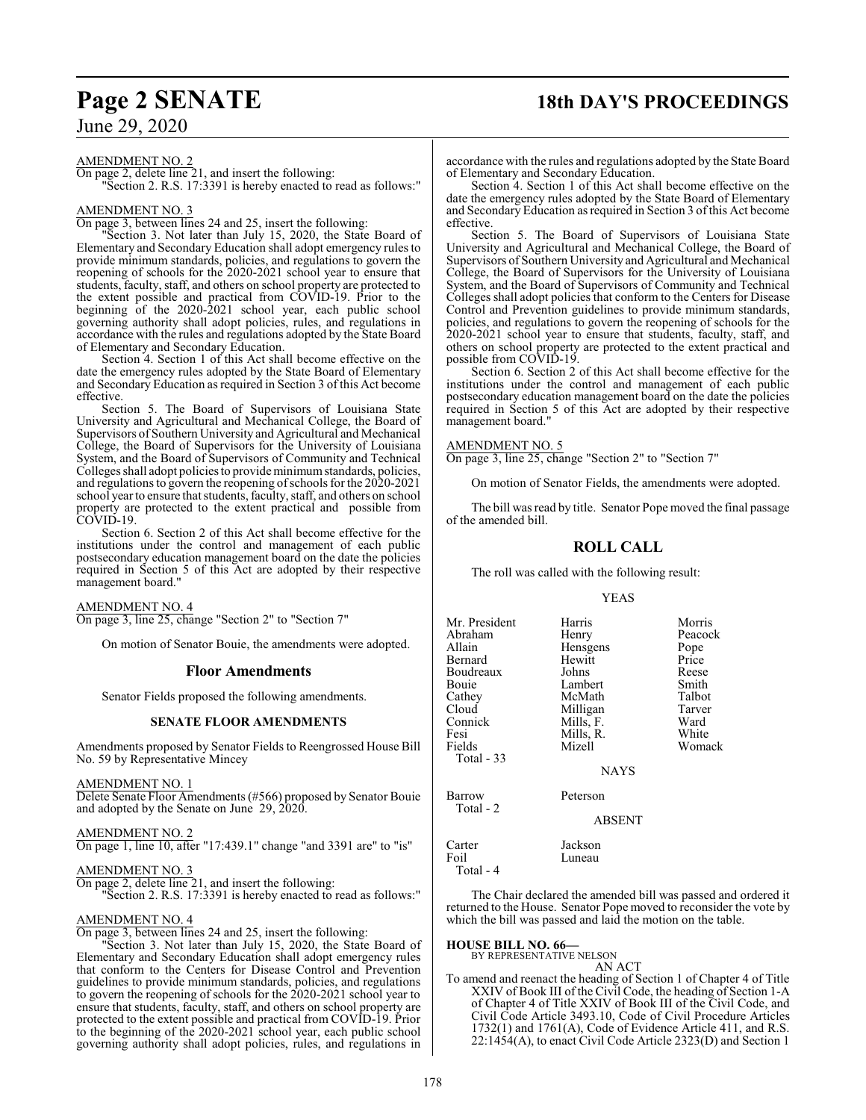## **Page 2 SENATE 18th DAY'S PROCEEDINGS**

June 29, 2020

AMENDMENT NO. 2

On page 2, delete line 21, and insert the following: Section 2. R.S. 17:3391 is hereby enacted to read as follows:"

#### AMENDMENT NO. 3

On page 3, between lines 24 and 25, insert the following:

"Section 3. Not later than July 15, 2020, the State Board of Elementary and Secondary Education shall adopt emergency rules to provide minimum standards, policies, and regulations to govern the reopening of schools for the 2020-2021 school year to ensure that students, faculty, staff, and others on school property are protected to the extent possible and practical from COVID-19. Prior to the beginning of the 2020-2021 school year, each public school governing authority shall adopt policies, rules, and regulations in accordance with the rules and regulations adopted by the State Board of Elementary and Secondary Education.

Section 4. Section 1 of this Act shall become effective on the date the emergency rules adopted by the State Board of Elementary and Secondary Education as required in Section 3 of this Act become effective.

Section 5. The Board of Supervisors of Louisiana State University and Agricultural and Mechanical College, the Board of Supervisors of Southern University and Agricultural and Mechanical College, the Board of Supervisors for the University of Louisiana System, and the Board of Supervisors of Community and Technical Colleges shall adopt policies to provide minimumstandards, policies, and regulations to govern the reopening ofschools for the 2020-2021 school year to ensure that students, faculty, staff, and others on school property are protected to the extent practical and possible from COVID-19.

Section 6. Section 2 of this Act shall become effective for the institutions under the control and management of each public postsecondary education management board on the date the policies required in Section 5 of this Act are adopted by their respective management board."

AMENDMENT NO. 4

On page 3, line 25, change "Section 2" to "Section 7"

On motion of Senator Bouie, the amendments were adopted.

#### **Floor Amendments**

Senator Fields proposed the following amendments.

#### **SENATE FLOOR AMENDMENTS**

Amendments proposed by Senator Fields to Reengrossed House Bill No. 59 by Representative Mincey

#### AMENDMENT NO. 1

Delete Senate Floor Amendments (#566) proposed by Senator Bouie and adopted by the Senate on June 29, 2020.

#### AMENDMENT NO. 2

On page 1, line 10, after "17:439.1" change "and 3391 are" to "is"

### AMENDMENT NO. 3

On page 2, delete line 21, and insert the following:

"Section 2. R.S. 17:3391 is hereby enacted to read as follows:"

#### AMENDMENT NO. 4

On page 3, between lines 24 and 25, insert the following:

"Section 3. Not later than July 15, 2020, the State Board of Elementary and Secondary Education shall adopt emergency rules that conform to the Centers for Disease Control and Prevention guidelines to provide minimum standards, policies, and regulations to govern the reopening of schools for the 2020-2021 school year to ensure that students, faculty, staff, and others on school property are protected to the extent possible and practical from COVID-19. Prior to the beginning of the 2020-2021 school year, each public school governing authority shall adopt policies, rules, and regulations in

accordance with the rules and regulations adopted by the State Board of Elementary and Secondary Education.

Section 4. Section 1 of this Act shall become effective on the date the emergency rules adopted by the State Board of Elementary and Secondary Education as required in Section 3 ofthis Act become effective.

Section 5. The Board of Supervisors of Louisiana State University and Agricultural and Mechanical College, the Board of Supervisors of Southern University and Agricultural and Mechanical College, the Board of Supervisors for the University of Louisiana System, and the Board of Supervisors of Community and Technical Colleges shall adopt policies that conform to the Centers for Disease Control and Prevention guidelines to provide minimum standards, policies, and regulations to govern the reopening of schools for the 2020-2021 school year to ensure that students, faculty, staff, and others on school property are protected to the extent practical and possible from COVID-19.

Section 6. Section 2 of this Act shall become effective for the institutions under the control and management of each public postsecondary education management board on the date the policies required in Section 5 of this Act are adopted by their respective management board."

#### AMENDMENT NO. 5

On page 3, line 25, change "Section 2" to "Section 7"

On motion of Senator Fields, the amendments were adopted.

The bill was read by title. Senator Pope moved the final passage of the amended bill.

#### **ROLL CALL**

The roll was called with the following result:

#### YEAS

| Mr. President<br>Abraham<br>Allain<br>Bernard<br>Boudreaux<br>Bouie | Harris<br>Henry<br>Hensgens<br>Hewitt<br>Johns<br>Lambert<br>McMath | Morris<br>Peacock<br>Pope<br>Price<br>Reese<br>Smith<br>Talbot |
|---------------------------------------------------------------------|---------------------------------------------------------------------|----------------------------------------------------------------|
| Cathey<br>Cloud<br>Connick<br>Fesi<br>Fields<br>Total - 33          | Milligan<br>Mills, F.<br>Mills, R.<br>Mizell<br><b>NAYS</b>         | Tarver<br>Ward<br>White<br>Womack                              |
| Barrow<br>Total - 2                                                 | Peterson<br><b>ABSENT</b>                                           |                                                                |
| Carter<br>Foil<br>Total - 4                                         | Jackson<br>Luneau                                                   |                                                                |

The Chair declared the amended bill was passed and ordered it returned to the House. Senator Pope moved to reconsider the vote by which the bill was passed and laid the motion on the table.

#### **HOUSE BILL NO. 66—**

BY REPRESENTATIVE NELSON AN ACT

To amend and reenact the heading of Section 1 of Chapter 4 of Title XXIV of Book III of the Civil Code, the heading of Section 1-A of Chapter 4 of Title XXIV of Book III of the Civil Code, and Civil Code Article 3493.10, Code of Civil Procedure Articles 1732(1) and 1761(A), Code of Evidence Article 411, and R.S. 22:1454(A), to enact Civil Code Article 2323(D) and Section 1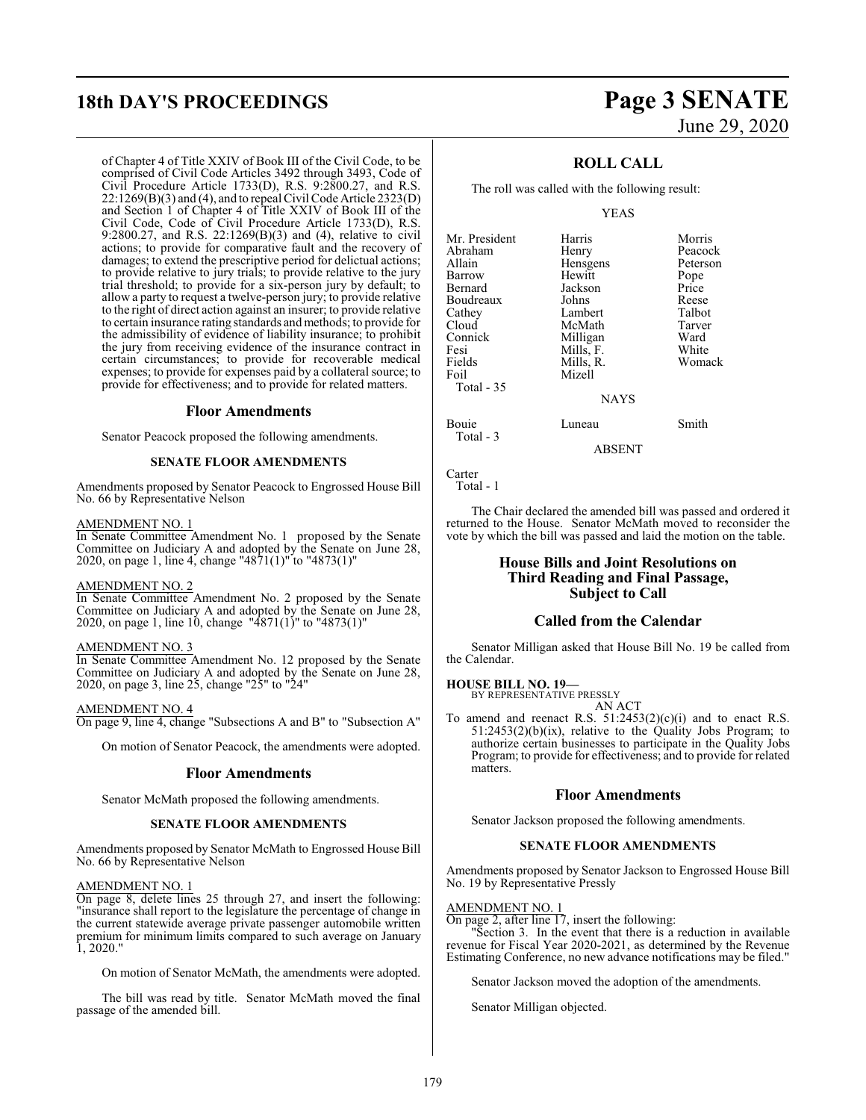## **18th DAY'S PROCEEDINGS Page 3 SENATE**

of Chapter 4 of Title XXIV of Book III of the Civil Code, to be comprised of Civil Code Articles 3492 through 3493, Code of Civil Procedure Article 1733(D), R.S. 9:2800.27, and R.S. 22:1269(B)(3) and (4), and to repeal Civil Code Article 2323(D) and Section 1 of Chapter 4 of Title XXIV of Book III of the Civil Code, Code of Civil Procedure Article 1733(D), R.S. 9:2800.27, and R.S. 22:1269(B)(3) and (4), relative to civil actions; to provide for comparative fault and the recovery of damages; to extend the prescriptive period for delictual actions; to provide relative to jury trials; to provide relative to the jury trial threshold; to provide for a six-person jury by default; to allow a party to request a twelve-person jury; to provide relative to the right of direct action against an insurer; to provide relative to certain insurance rating standards and methods; to provide for the admissibility of evidence of liability insurance; to prohibit the jury from receiving evidence of the insurance contract in certain circumstances; to provide for recoverable medical expenses; to provide for expenses paid by a collateral source; to provide for effectiveness; and to provide for related matters.

#### **Floor Amendments**

Senator Peacock proposed the following amendments.

#### **SENATE FLOOR AMENDMENTS**

Amendments proposed by Senator Peacock to Engrossed House Bill No. 66 by Representative Nelson

#### AMENDMENT NO. 1

In Senate Committee Amendment No. 1 proposed by the Senate Committee on Judiciary A and adopted by the Senate on June 28, 2020, on page 1, line 4, change "4871(1)" to "4873(1)"

#### AMENDMENT NO. 2

In Senate Committee Amendment No. 2 proposed by the Senate Committee on Judiciary A and adopted by the Senate on June 28, 2020, on page 1, line 10, change "4871(1)" to "4873(1)"

#### AMENDMENT NO. 3

In Senate Committee Amendment No. 12 proposed by the Senate Committee on Judiciary A and adopted by the Senate on June 28, 2020, on page 3, line 25, change "25" to "24"

AMENDMENT NO. 4 On page 9, line 4, change "Subsections A and B" to "Subsection A"

On motion of Senator Peacock, the amendments were adopted.

#### **Floor Amendments**

Senator McMath proposed the following amendments.

#### **SENATE FLOOR AMENDMENTS**

Amendments proposed by Senator McMath to Engrossed House Bill No. 66 by Representative Nelson

#### AMENDMENT NO. 1

On page 8, delete lines 25 through 27, and insert the following: "insurance shall report to the legislature the percentage of change in the current statewide average private passenger automobile written premium for minimum limits compared to such average on January 1, 2020."

On motion of Senator McMath, the amendments were adopted.

The bill was read by title. Senator McMath moved the final passage of the amended bill.

# June 29, 2020

### **ROLL CALL**

The roll was called with the following result:

#### YEAS

| Mr. President      | Harris      | Morris   |
|--------------------|-------------|----------|
| Abraham            | Henry       | Peacock  |
| Allain             | Hensgens    | Peterson |
| Barrow             | Hewitt      | Pope     |
| Bernard            | Jackson     | Price    |
| Boudreaux          | Johns       | Reese    |
| Cathey             | Lambert     | Talbot   |
| Cloud              | McMath      | Tarver   |
| Connick            | Milligan    | Ward     |
| Fesi               | Mills, F.   | White    |
| Fields             | Mills, R.   | Womack   |
| Foil               | Mizell      |          |
| Total $-35$        |             |          |
|                    | <b>NAYS</b> |          |
| Bouie<br>Total - 3 | Luneau      | Smith    |

ABSENT

Carter Total - 1

The Chair declared the amended bill was passed and ordered it returned to the House. Senator McMath moved to reconsider the vote by which the bill was passed and laid the motion on the table.

### **House Bills and Joint Resolutions on Third Reading and Final Passage, Subject to Call**

#### **Called from the Calendar**

Senator Milligan asked that House Bill No. 19 be called from the Calendar.

#### **HOUSE BILL NO. 19—**

BY REPRESENTATIVE PRESSLY

AN ACT To amend and reenact R.S.  $51:2453(2)(c)(i)$  and to enact R.S. 51:2453(2)(b)(ix), relative to the Quality Jobs Program; to authorize certain businesses to participate in the Quality Jobs Program; to provide for effectiveness; and to provide for related matters.

#### **Floor Amendments**

Senator Jackson proposed the following amendments.

#### **SENATE FLOOR AMENDMENTS**

Amendments proposed by Senator Jackson to Engrossed House Bill No. 19 by Representative Pressly

#### AMENDMENT NO. 1

On page 2, after line 17, insert the following:

Section 3. In the event that there is a reduction in available revenue for Fiscal Year 2020-2021, as determined by the Revenue Estimating Conference, no new advance notifications may be filed."

Senator Jackson moved the adoption of the amendments.

Senator Milligan objected.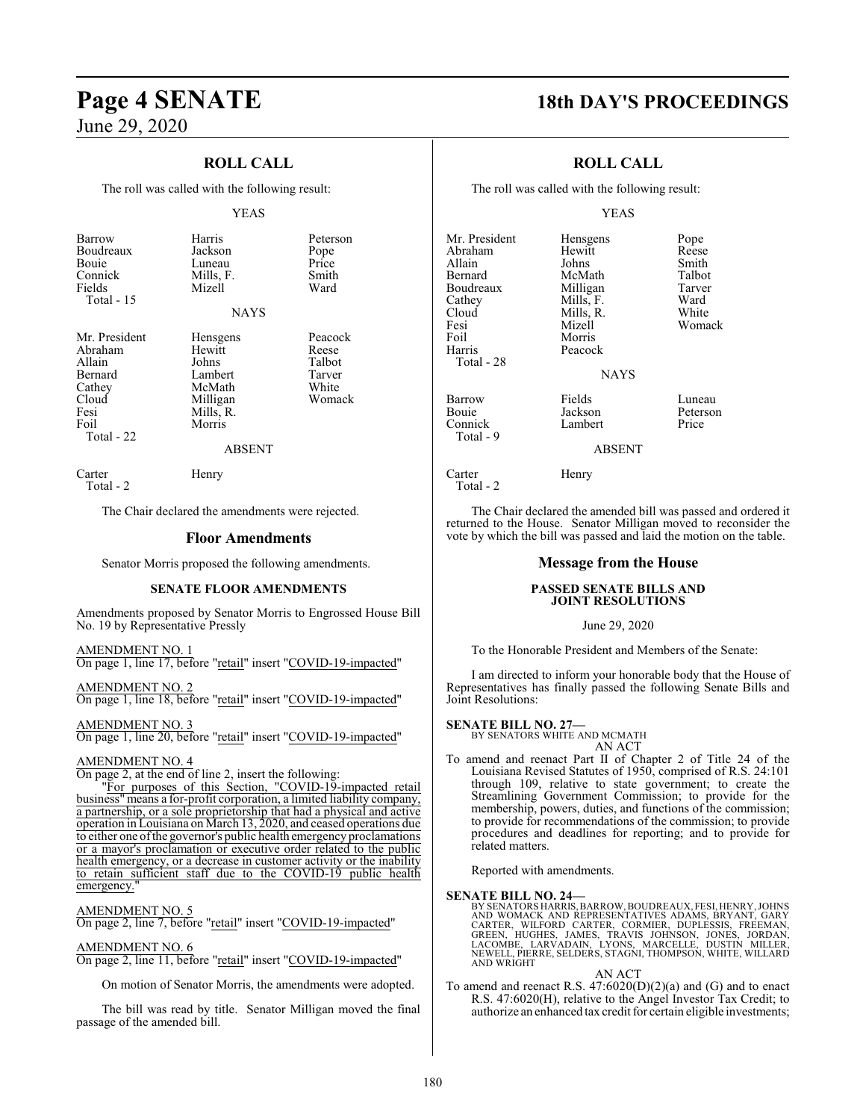### **ROLL CALL**

The roll was called with the following result:

#### YEAS

| Barrow<br>Boudreaux<br>Bouie<br>Connick<br>Fields<br>Total - 15                                | Harris<br>Jackson<br>Luneau<br>Mills, F.<br>Mizell<br>NAYS                                    | Peterson<br>Pope<br>Price<br>Smith<br>Ward              |
|------------------------------------------------------------------------------------------------|-----------------------------------------------------------------------------------------------|---------------------------------------------------------|
| Mr. President<br>Abraham<br>Allain<br>Bernard<br>Cathey<br>Cloud<br>Fesi<br>Foil<br>Total - 22 | Hensgens<br>Hewitt<br>Johns<br>Lambert<br>McMath<br>Milligan<br>Mills, R.<br>Morris<br>ABSENT | Peacock<br>Reese<br>Talbot<br>Tarver<br>White<br>Womack |
| Carter<br>Total - 2                                                                            | Henry                                                                                         |                                                         |

The Chair declared the amendments were rejected.

#### **Floor Amendments**

Senator Morris proposed the following amendments.

#### **SENATE FLOOR AMENDMENTS**

Amendments proposed by Senator Morris to Engrossed House Bill No. 19 by Representative Pressly

#### AMENDMENT NO. 1 On page 1, line 17, before "retail" insert "COVID-19-impacted"

AMENDMENT NO. 2 On page 1, line 18, before "retail" insert "COVID-19-impacted"

AMENDMENT NO. 3 On page 1, line 20, before "retail" insert "COVID-19-impacted"

#### AMENDMENT NO. 4

On page 2, at the end of line 2, insert the following:

"For purposes of this Section, "COVID-19-impacted retail business" means a for-profit corporation, a limited liability company, a partnership, or a sole proprietorship that had a physical and active operation in Louisiana on March 13, 2020, and ceased operations due to either one ofthe governor's public health emergency proclamations or a mayor's proclamation or executive order related to the public health emergency, or a decrease in customer activity or the inability to retain sufficient staff due to the COVID-19 public health emergency."

#### AMENDMENT NO. 5

On page 2, line 7, before "retail" insert "COVID-19-impacted"

#### AMENDMENT NO. 6

On page 2, line 11, before "retail" insert "COVID-19-impacted"

On motion of Senator Morris, the amendments were adopted.

The bill was read by title. Senator Milligan moved the final passage of the amended bill.

## **Page 4 SENATE 18th DAY'S PROCEEDINGS**

### **ROLL CALL**

The roll was called with the following result:

#### YEAS

Mr. President Hensgens Pope<br>Abraham Hewitt Reese Abraham Hewit<br>Allain Johns Allain Johns Smith Bernard McMath Talbot<br>Boudreaux Milligan Tarver Boudreaux Milligan Tarve<br>Cathey Mills, F. Ward Cathey Mills, F. Ward<br>Cloud Mills, R. White Cloud Mills, R.<br>Fesi Mizell Foil Morris<br>Harris Peacoc Total - 28 Barrow Fields Luneau<br>
Bouie – Jackson Peterson Connick Total - 9

Total - 2

**NAYS** 

Peacock

Jackson Peterson<br>Lambert Price

Womack

ABSENT

Carter Henry

The Chair declared the amended bill was passed and ordered it returned to the House. Senator Milligan moved to reconsider the vote by which the bill was passed and laid the motion on the table.

### **Message from the House**

#### **PASSED SENATE BILLS AND JOINT RESOLUTIONS**

#### June 29, 2020

To the Honorable President and Members of the Senate:

I am directed to inform your honorable body that the House of Representatives has finally passed the following Senate Bills and Joint Resolutions:

**SENATE BILL NO. 27—** BY SENATORS WHITE AND MCMATH AN ACT

To amend and reenact Part II of Chapter 2 of Title 24 of the Louisiana Revised Statutes of 1950, comprised of R.S. 24:101 through 109, relative to state government; to create the Streamlining Government Commission; to provide for the membership, powers, duties, and functions of the commission; to provide for recommendations of the commission; to provide procedures and deadlines for reporting; and to provide for related matters.

Reported with amendments.

#### **SENATE BILL NO. 24—**

BY SENATORS HARRIS,BARROW, BOUDREAUX, FESI, HENRY,JOHNS AND WOMACK AND REPRESENTATIVES ADAMS, BRYANT, GARY<br>CARTER, WILFORD CARTER, CORMIER, DUPLESSIS, FREEMAN,<br>GREEN, HUGHES, JAMES, TRAVIS JOHNSON, JONES, JORDAN,<br>LACOMBE, LARVADAIN, LYONS, MARCELLE, DUSTIN MILLER,<br>NEWELL, PIERR AND WRIGHT

AN ACT

To amend and reenact R.S. 47:6020(D)(2)(a) and (G) and to enact R.S. 47:6020(H), relative to the Angel Investor Tax Credit; to authorize an enhanced tax credit for certain eligible investments;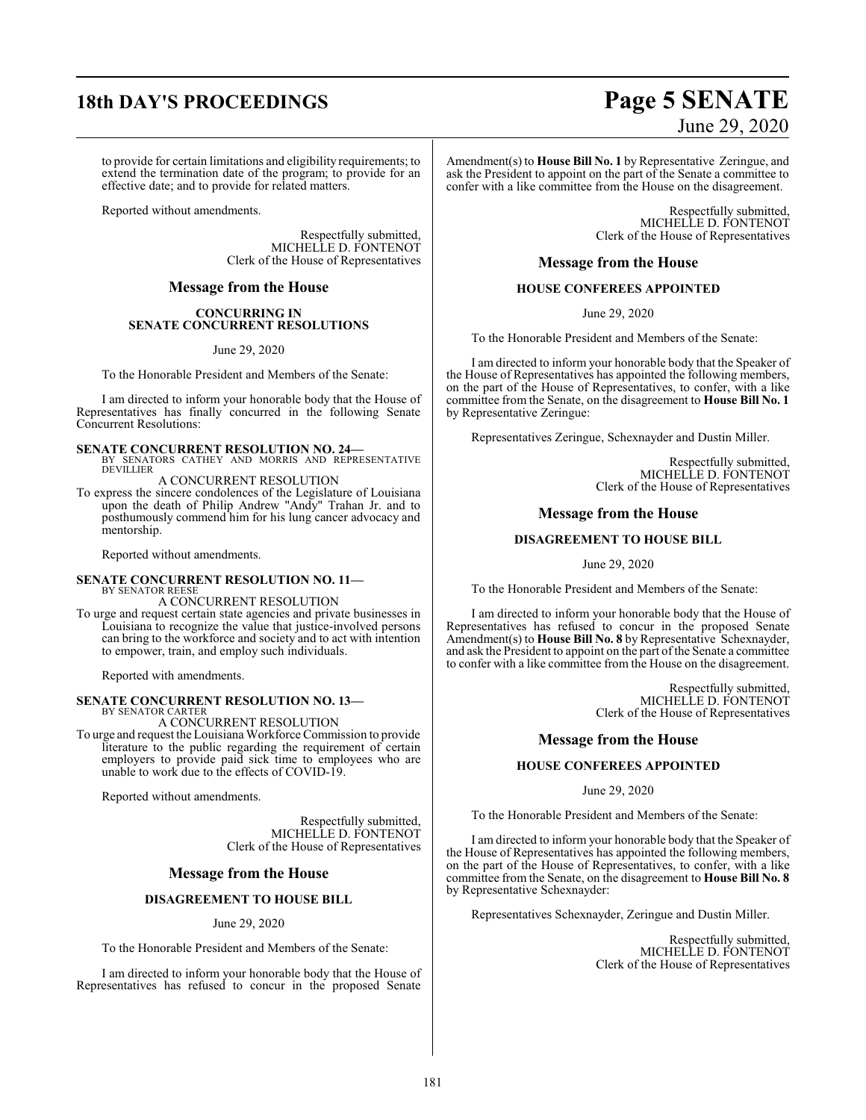## **18th DAY'S PROCEEDINGS Page 5 SENATE**

to provide for certain limitations and eligibility requirements; to extend the termination date of the program; to provide for an effective date; and to provide for related matters.

Reported without amendments.

Respectfully submitted, MICHELLE D. FONTENOT Clerk of the House of Representatives

#### **Message from the House**

#### **CONCURRING IN SENATE CONCURRENT RESOLUTIONS**

June 29, 2020

To the Honorable President and Members of the Senate:

I am directed to inform your honorable body that the House of Representatives has finally concurred in the following Senate Concurrent Resolutions:

**SENATE CONCURRENT RESOLUTION NO. 24—**<br>BY SENATORS CATHEY AND MORRIS AND REPRESENTATIVE **DEVILLIER** 

A CONCURRENT RESOLUTION

To express the sincere condolences of the Legislature of Louisiana upon the death of Philip Andrew "Andy" Trahan Jr. and to posthumously commend him for his lung cancer advocacy and mentorship.

Reported without amendments.

## **SENATE CONCURRENT RESOLUTION NO. 11—**<br>BY SENATOR REESE<br>A CONCURRENT RESOLUTION

To urge and request certain state agencies and private businesses in Louisiana to recognize the value that justice-involved persons can bring to the workforce and society and to act with intention to empower, train, and employ such individuals.

Reported with amendments.

#### **SENATE CONCURRENT RESOLUTION NO. 13—**

BY SENATOR CARTER A CONCURRENT RESOLUTION

To urge and request the LouisianaWorkforce Commission to provide literature to the public regarding the requirement of certain employers to provide paid sick time to employees who are unable to work due to the effects of COVID-19.

Reported without amendments.

Respectfully submitted, MICHELLE D. FONTENOT Clerk of the House of Representatives

#### **Message from the House**

#### **DISAGREEMENT TO HOUSE BILL**

June 29, 2020

To the Honorable President and Members of the Senate:

I am directed to inform your honorable body that the House of Representatives has refused to concur in the proposed Senate

# June 29, 2020

Amendment(s) to **House Bill No. 1** by Representative Zeringue, and ask the President to appoint on the part of the Senate a committee to confer with a like committee from the House on the disagreement.

> Respectfully submitted, MICHELLE D. FONTENOT Clerk of the House of Representatives

### **Message from the House**

#### **HOUSE CONFEREES APPOINTED**

June 29, 2020

To the Honorable President and Members of the Senate:

I am directed to inform your honorable body that the Speaker of the House of Representatives has appointed the following members, on the part of the House of Representatives, to confer, with a like committee from the Senate, on the disagreement to **House Bill No. 1** by Representative Zeringue:

Representatives Zeringue, Schexnayder and Dustin Miller.

Respectfully submitted, MICHELLE D. FONTENOT Clerk of the House of Representatives

#### **Message from the House**

#### **DISAGREEMENT TO HOUSE BILL**

June 29, 2020

To the Honorable President and Members of the Senate:

I am directed to inform your honorable body that the House of Representatives has refused to concur in the proposed Senate Amendment(s) to **House Bill No. 8** by Representative Schexnayder, and ask the President to appoint on the part of the Senate a committee to confer with a like committee from the House on the disagreement.

> Respectfully submitted, MICHELLE D. FONTENOT Clerk of the House of Representatives

#### **Message from the House**

#### **HOUSE CONFEREES APPOINTED**

#### June 29, 2020

To the Honorable President and Members of the Senate:

I am directed to inform your honorable body that the Speaker of the House of Representatives has appointed the following members, on the part of the House of Representatives, to confer, with a like committee from the Senate, on the disagreement to **House Bill No. 8** by Representative Schexnayder:

Representatives Schexnayder, Zeringue and Dustin Miller.

Respectfully submitted, MICHELLE D. FONTENOT Clerk of the House of Representatives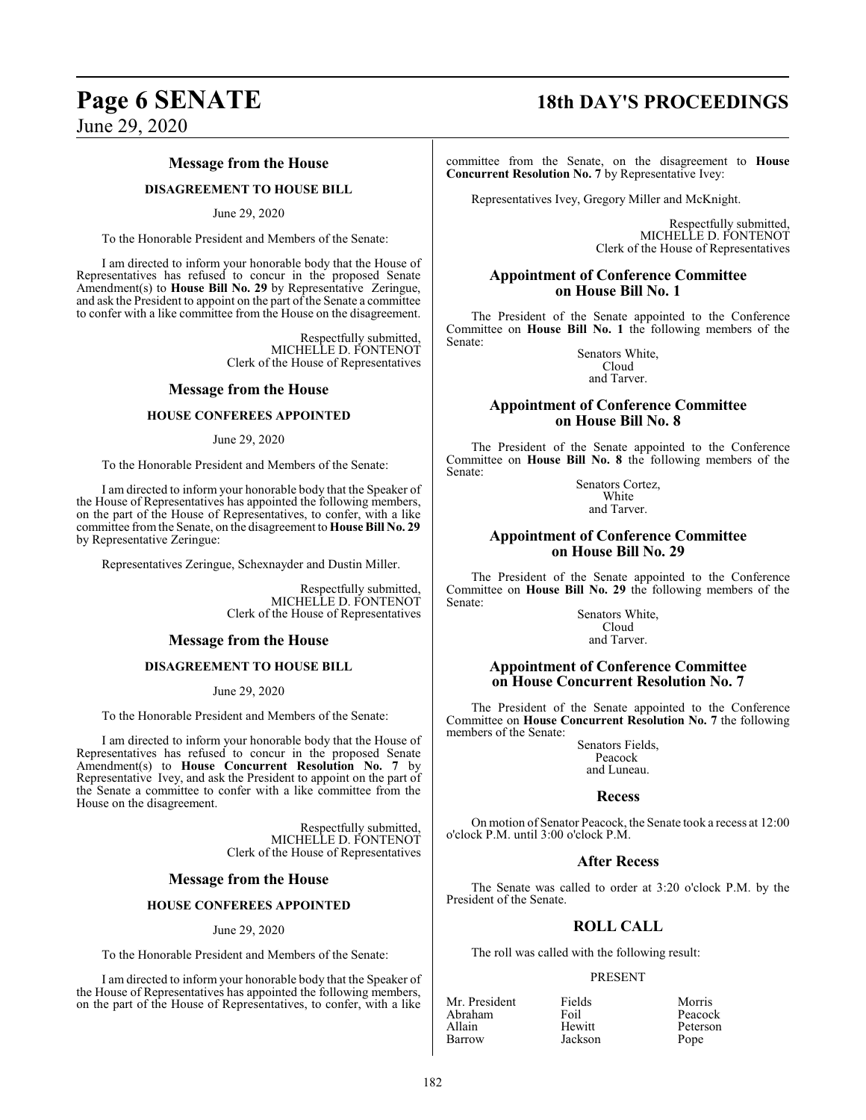## **Page 6 SENATE 18th DAY'S PROCEEDINGS**

June 29, 2020

#### **Message from the House**

### **DISAGREEMENT TO HOUSE BILL**

#### June 29, 2020

To the Honorable President and Members of the Senate:

I am directed to inform your honorable body that the House of Representatives has refused to concur in the proposed Senate Amendment(s) to **House Bill No. 29** by Representative Zeringue, and ask the President to appoint on the part of the Senate a committee to confer with a like committee from the House on the disagreement.

> Respectfully submitted, MICHELLE D. FONTENOT Clerk of the House of Representatives

#### **Message from the House**

#### **HOUSE CONFEREES APPOINTED**

#### June 29, 2020

To the Honorable President and Members of the Senate:

I am directed to inform your honorable body that the Speaker of the House of Representatives has appointed the following members, on the part of the House of Representatives, to confer, with a like committee fromthe Senate, on the disagreement to **House Bill No. 29** by Representative Zeringue:

Representatives Zeringue, Schexnayder and Dustin Miller.

Respectfully submitted, MICHELLE D. FONTENOT Clerk of the House of Representatives

#### **Message from the House**

#### **DISAGREEMENT TO HOUSE BILL**

June 29, 2020

To the Honorable President and Members of the Senate:

I am directed to inform your honorable body that the House of Representatives has refused to concur in the proposed Senate Amendment(s) to **House Concurrent Resolution No. 7** by Representative Ivey, and ask the President to appoint on the part of the Senate a committee to confer with a like committee from the House on the disagreement.

> Respectfully submitted, MICHELLE D. FONTENOT Clerk of the House of Representatives

#### **Message from the House**

#### **HOUSE CONFEREES APPOINTED**

#### June 29, 2020

To the Honorable President and Members of the Senate:

I am directed to inform your honorable body that the Speaker of the House of Representatives has appointed the following members, on the part of the House of Representatives, to confer, with a like committee from the Senate, on the disagreement to **House Concurrent Resolution No. 7** by Representative Ivey:

Representatives Ivey, Gregory Miller and McKnight.

Respectfully submitted, MICHELLE D. FONTENOT Clerk of the House of Representatives

#### **Appointment of Conference Committee on House Bill No. 1**

The President of the Senate appointed to the Conference Committee on **House Bill No. 1** the following members of the Senate:

Senators White, Cloud and Tarver.

#### **Appointment of Conference Committee on House Bill No. 8**

The President of the Senate appointed to the Conference Committee on **House Bill No. 8** the following members of the Senate:

> Senators Cortez, **White** and Tarver.

#### **Appointment of Conference Committee on House Bill No. 29**

The President of the Senate appointed to the Conference Committee on **House Bill No. 29** the following members of the Senate:

Senators White, Cloud and Tarver.

#### **Appointment of Conference Committee on House Concurrent Resolution No. 7**

The President of the Senate appointed to the Conference Committee on **House Concurrent Resolution No. 7** the following members of the Senate:

Senators Fields, Peacock and Luneau.

#### **Recess**

On motion of Senator Peacock, the Senate took a recess at 12:00 o'clock P.M. until 3:00 o'clock P.M.

#### **After Recess**

The Senate was called to order at 3:20 o'clock P.M. by the President of the Senate.

### **ROLL CALL**

The roll was called with the following result:

Jackson

#### PRESENT

Abraham Foil<br>Allain Hewitt

Mr. President Fields Morris<br>Abraham Foil Peacock Allain Hewitt Peterson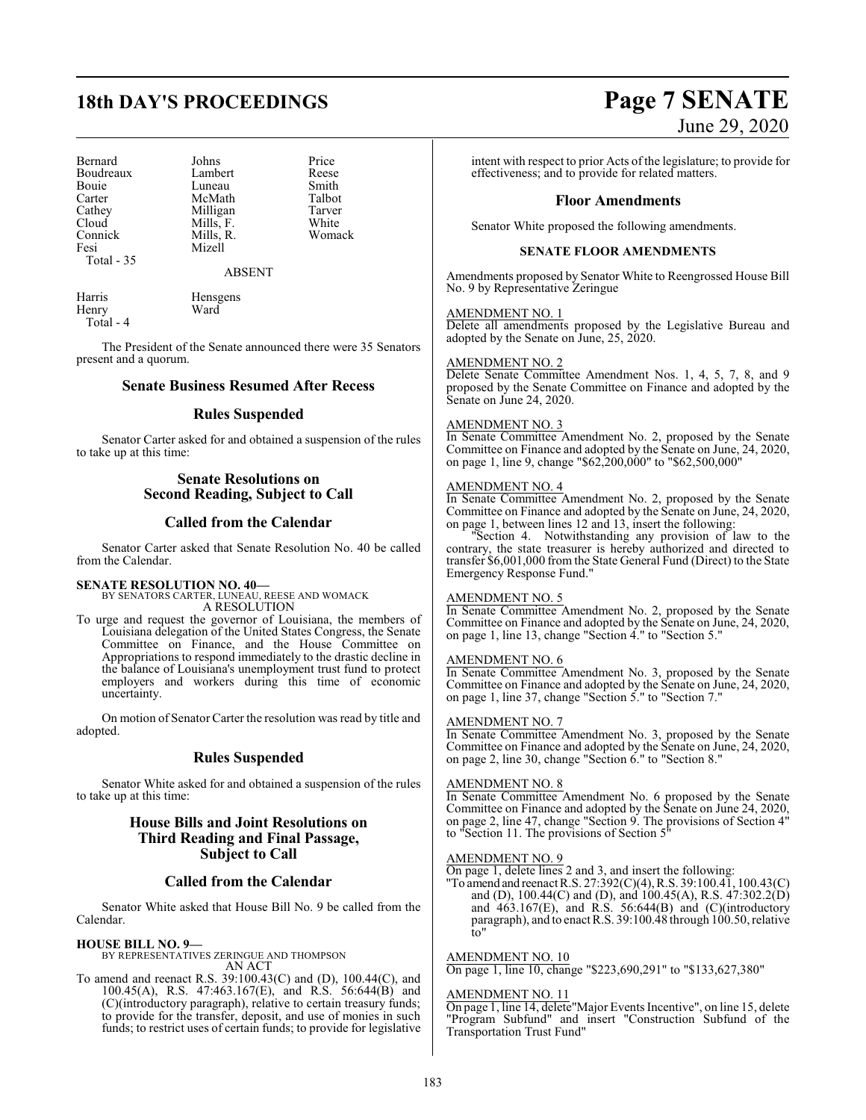## **18th DAY'S PROCEEDINGS Page 7 SENATE**

Bernard Johns Price<br>Boudreaux Lambert Reese Boudreaux Lambert Reese<br>Bouie Luneau Smith Bouie Luneau Smith<br>Carter McMath Talbot Carter McMath Talbot<br>Cathey Milligan Tarver Cathey Milligan Tarver<br>Cloud Mills, F. White Cloud Mills, F. White<br>
Connick Mills, R. Womack Fesi Mizell Total - 35

Mills, R.

ABSENT

| Harris    | Hensgens |
|-----------|----------|
| Henry     | Ward     |
| Total - 4 |          |

The President of the Senate announced there were 35 Senators present and a quorum.

#### **Senate Business Resumed After Recess**

#### **Rules Suspended**

Senator Carter asked for and obtained a suspension of the rules to take up at this time:

#### **Senate Resolutions on Second Reading, Subject to Call**

#### **Called from the Calendar**

Senator Carter asked that Senate Resolution No. 40 be called from the Calendar.

**SENATE RESOLUTION NO. 40—** BY SENATORS CARTER, LUNEAU, REESE AND WOMACK A RESOLUTION

To urge and request the governor of Louisiana, the members of Louisiana delegation of the United States Congress, the Senate Committee on Finance, and the House Committee on Appropriations to respond immediately to the drastic decline in the balance of Louisiana's unemployment trust fund to protect employers and workers during this time of economic uncertainty.

On motion of Senator Carter the resolution was read by title and adopted.

#### **Rules Suspended**

Senator White asked for and obtained a suspension of the rules to take up at this time:

### **House Bills and Joint Resolutions on Third Reading and Final Passage, Subject to Call**

#### **Called from the Calendar**

Senator White asked that House Bill No. 9 be called from the Calendar.

#### **HOUSE BILL NO. 9—**

BY REPRESENTATIVES ZERINGUE AND THOMPSON AN ACT

To amend and reenact R.S. 39:100.43(C) and (D), 100.44(C), and 100.45(A), R.S. 47:463.167(E), and R.S. 56:644(B) and (C)(introductory paragraph), relative to certain treasury funds; to provide for the transfer, deposit, and use of monies in such funds; to restrict uses of certain funds; to provide for legislative

# June 29, 2020

intent with respect to prior Acts of the legislature; to provide for effectiveness; and to provide for related matters.

#### **Floor Amendments**

Senator White proposed the following amendments.

#### **SENATE FLOOR AMENDMENTS**

Amendments proposed by Senator White to Reengrossed House Bill No. 9 by Representative Zeringue

#### AMENDMENT NO. 1

Delete all amendments proposed by the Legislative Bureau and adopted by the Senate on June, 25, 2020.

#### AMENDMENT NO. 2

Delete Senate Committee Amendment Nos. 1, 4, 5, 7, 8, and 9 proposed by the Senate Committee on Finance and adopted by the Senate on June 24, 2020.

#### AMENDMENT NO. 3

In Senate Committee Amendment No. 2, proposed by the Senate Committee on Finance and adopted by the Senate on June, 24, 2020, on page 1, line 9, change "\$62,200,000" to "\$62,500,000"

#### AMENDMENT NO. 4

In Senate Committee Amendment No. 2, proposed by the Senate Committee on Finance and adopted by the Senate on June, 24, 2020, on page 1, between lines 12 and 13, insert the following:

Section 4. Notwithstanding any provision of law to the contrary, the state treasurer is hereby authorized and directed to transfer \$6,001,000 from the State General Fund (Direct) to the State Emergency Response Fund."

#### AMENDMENT NO. 5

In Senate Committee Amendment No. 2, proposed by the Senate Committee on Finance and adopted by the Senate on June, 24, 2020, on page 1, line 13, change "Section 4." to "Section 5."

#### AMENDMENT NO. 6

In Senate Committee Amendment No. 3, proposed by the Senate Committee on Finance and adopted by the Senate on June, 24, 2020, on page 1, line 37, change "Section 5." to "Section 7."

#### AMENDMENT NO. 7

In Senate Committee Amendment No. 3, proposed by the Senate Committee on Finance and adopted by the Senate on June, 24, 2020, on page 2, line 30, change "Section 6." to "Section 8."

#### AMENDMENT NO. 8

In Senate Committee Amendment No. 6 proposed by the Senate Committee on Finance and adopted by the Senate on June 24, 2020, on page 2, line 47, change "Section 9. The provisions of Section 4" to "Section 11. The provisions of Section 5"

#### AMENDMENT NO. 9

On page 1, delete lines 2 and 3, and insert the following:

"To amend and reenact R.S. 27:392(C)(4), R.S. 39:100.41, 100.43(C) and (D), 100.44(C) and (D), and 100.45(A), R.S. 47:302.2(D) and  $463.167(E)$ , and R.S. 56:644(B) and (C)(introductory paragraph), and to enact R.S. 39:100.48 through 100.50, relative to"

#### AMENDMENT NO. 10

On page 1, line 10, change "\$223,690,291" to "\$133,627,380"

#### AMENDMENT NO. 11

On page 1, line 14, delete"Major Events Incentive", on line 15, delete "Program Subfund" and insert "Construction Subfund of the Transportation Trust Fund"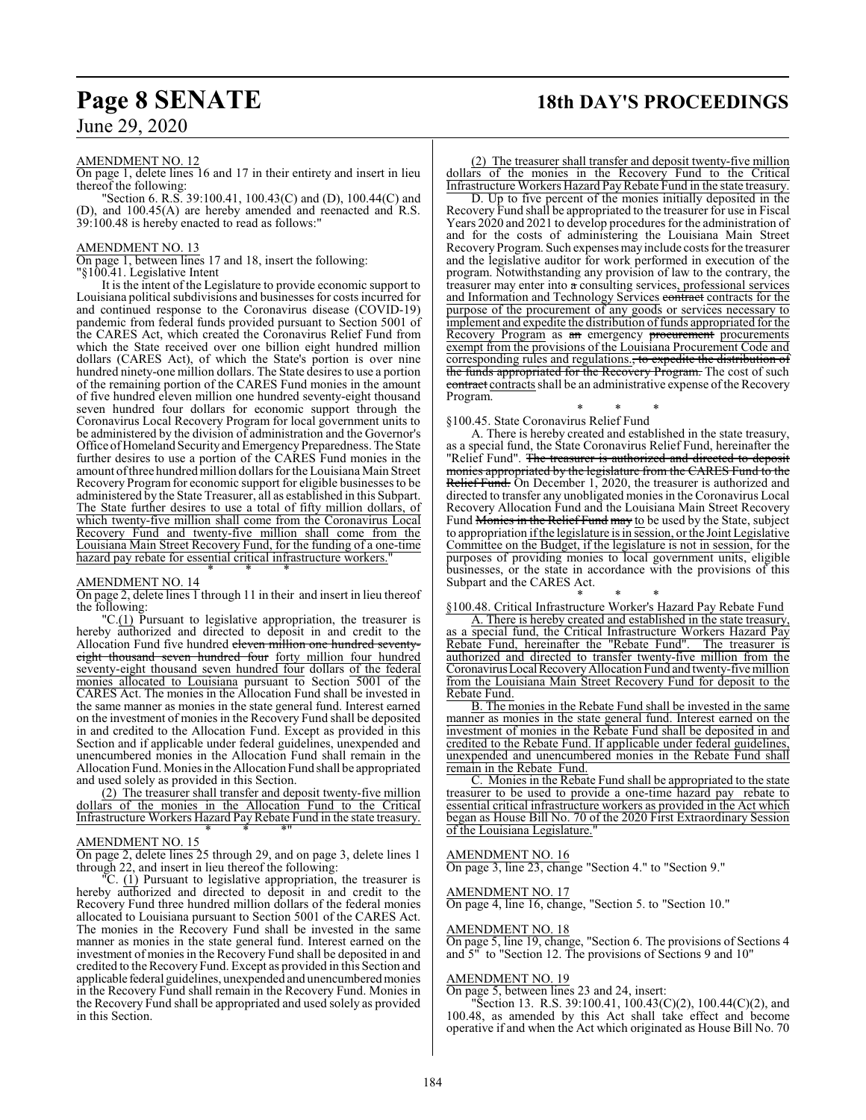## **Page 8 SENATE 18th DAY'S PROCEEDINGS**

### AMENDMENT NO. 12

On page 1, delete lines 16 and 17 in their entirety and insert in lieu thereof the following:

"Section 6. R.S. 39:100.41, 100.43(C) and (D), 100.44(C) and (D), and 100.45(A) are hereby amended and reenacted and R.S. 39:100.48 is hereby enacted to read as follows:"

### AMENDMENT NO. 13

On page 1, between lines 17 and 18, insert the following:

"§100.41. Legislative Intent

It is the intent of the Legislature to provide economic support to Louisiana political subdivisions and businesses for costs incurred for and continued response to the Coronavirus disease (COVID-19) pandemic from federal funds provided pursuant to Section 5001 of the CARES Act, which created the Coronavirus Relief Fund from which the State received over one billion eight hundred million dollars (CARES Act), of which the State's portion is over nine hundred ninety-one million dollars. The State desires to use a portion of the remaining portion of the CARES Fund monies in the amount of five hundred eleven million one hundred seventy-eight thousand seven hundred four dollars for economic support through the Coronavirus Local Recovery Program for local government units to be administered by the division of administration and the Governor's Office of Homeland Security and Emergency Preparedness. The State further desires to use a portion of the CARES Fund monies in the amount of three hundred million dollars for the Louisiana Main Street Recovery Programfor economic support for eligible businesses to be administered by the State Treasurer, all as established in this Subpart. The State further desires to use a total of fifty million dollars, of which twenty-five million shall come from the Coronavirus Local Recovery Fund and twenty-five million shall come from the Louisiana Main Street Recovery Fund, for the funding of a one-time hazard pay rebate for essential critical infrastructure workers. \* \* \*

#### AMENDMENT NO. 14

On page 2, delete lines 1 through 11 in their and insert in lieu thereof the following:

"C.(1) Pursuant to legislative appropriation, the treasurer is hereby authorized and directed to deposit in and credit to the Allocation Fund five hundred eleven million one hundred seventyeight thousand seven hundred four forty million four hundred seventy-eight thousand seven hundred four dollars of the federal monies allocated to Louisiana pursuant to Section 5001 of the CARES Act. The monies in the Allocation Fund shall be invested in the same manner as monies in the state general fund. Interest earned on the investment of monies in the Recovery Fund shall be deposited in and credited to the Allocation Fund. Except as provided in this Section and if applicable under federal guidelines, unexpended and unencumbered monies in the Allocation Fund shall remain in the Allocation Fund. Monies in the Allocation Fund shall be appropriated and used solely as provided in this Section.

(2) The treasurer shall transfer and deposit twenty-five million dollars of the monies in the Allocation Fund to the Critical Infrastructure Workers Hazard PayRebate Fund in the state treasury. \* \* \*"

#### AMENDMENT NO. 15

On page 2, delete lines 25 through 29, and on page 3, delete lines 1 through 22, and insert in lieu thereof the following:

"C. (1) Pursuant to legislative appropriation, the treasurer is hereby authorized and directed to deposit in and credit to the Recovery Fund three hundred million dollars of the federal monies allocated to Louisiana pursuant to Section 5001 of the CARES Act. The monies in the Recovery Fund shall be invested in the same manner as monies in the state general fund. Interest earned on the investment of monies in the Recovery Fund shall be deposited in and credited to the RecoveryFund. Except as provided in this Section and applicable federal guidelines, unexpended and unencumberedmonies in the Recovery Fund shall remain in the Recovery Fund. Monies in the Recovery Fund shall be appropriated and used solely as provided in this Section.

(2) The treasurer shall transfer and deposit twenty-five million dollars of the monies in the Recovery Fund to the Critical Infrastructure Workers Hazard PayRebate Fund in the state treasury.

D. Up to five percent of the monies initially deposited in the Recovery Fund shall be appropriated to the treasurer for use in Fiscal Years 2020 and 2021 to develop procedures for the administration of and for the costs of administering the Louisiana Main Street RecoveryProgram. Such expenses may include costs for the treasurer and the legislative auditor for work performed in execution of the program. Notwithstanding any provision of law to the contrary, the treasurer may enter into a consulting services, professional services and Information and Technology Services contracts contracts for the purpose of the procurement of any goods or services necessary to implement and expedite the distribution of funds appropriated for the Recovery Program as an emergency procurement procurements exempt from the provisions of the Louisiana Procurement Code and corresponding rules and regulations., to expedite the distribution of the funds appropriated for the Recovery Program. The cost of such contract contracts shall be an administrative expense of the Recovery Program.

\* \* \* §100.45. State Coronavirus Relief Fund

A. There is hereby created and established in the state treasury, as a special fund, the State Coronavirus Relief Fund, hereinafter the "Relief Fund". The treasurer is authorized and directed to deposit monies appropriated by the legislature from the CARES Fund to the Relief Fund. On December 1, 2020, the treasurer is authorized and directed to transfer any unobligated monies in the Coronavirus Local Recovery Allocation Fund and the Louisiana Main Street Recovery Fund Monies in the Relief Fund may to be used by the State, subject to appropriation ifthe legislature is in session, or the Joint Legislative Committee on the Budget, if the legislature is not in session, for the purposes of providing monies to local government units, eligible businesses, or the state in accordance with the provisions of this Subpart and the CARES Act.

\* \* \* §100.48. Critical Infrastructure Worker's Hazard Pay Rebate Fund

A. There is hereby created and established in the state treasury, as a special fund, the Critical Infrastructure Workers Hazard Pay Rebate Fund, hereinafter the "Rebate Fund". The treasurer is authorized and directed to transfer twenty-five million from the Coronavirus Local Recovery Allocation Fund and twenty-five million from the Louisiana Main Street Recovery Fund for deposit to the Rebate Fund.

B. The monies in the Rebate Fund shall be invested in the same manner as monies in the state general fund. Interest earned on the investment of monies in the Rebate Fund shall be deposited in and credited to the Rebate Fund. If applicable under federal guidelines, unexpended and unencumbered monies in the Rebate Fund shall remain in the Rebate Fund.

C. Monies in the Rebate Fund shall be appropriated to the state treasurer to be used to provide a one-time hazard pay rebate to essential critical infrastructure workers as provided in the Act which began as House Bill No. 70 of the 2020 First Extraordinary Session of the Louisiana Legislature.

#### AMENDMENT NO. 16

On page 3, line 23, change "Section 4." to "Section 9."

### AMENDMENT NO. 17

On page 4, line 16, change, "Section 5. to "Section 10."

#### AMENDMENT NO. 18

On page 5, line 19, change, "Section 6. The provisions of Sections 4 and 5" to "Section 12. The provisions of Sections 9 and 10"

### AMENDMENT NO. 19

On page 5, between lines 23 and 24, insert:

"Section 13. R.S. 39:100.41, 100.43(C)(2), 100.44(C)(2), and 100.48, as amended by this Act shall take effect and become operative if and when the Act which originated as House Bill No. 70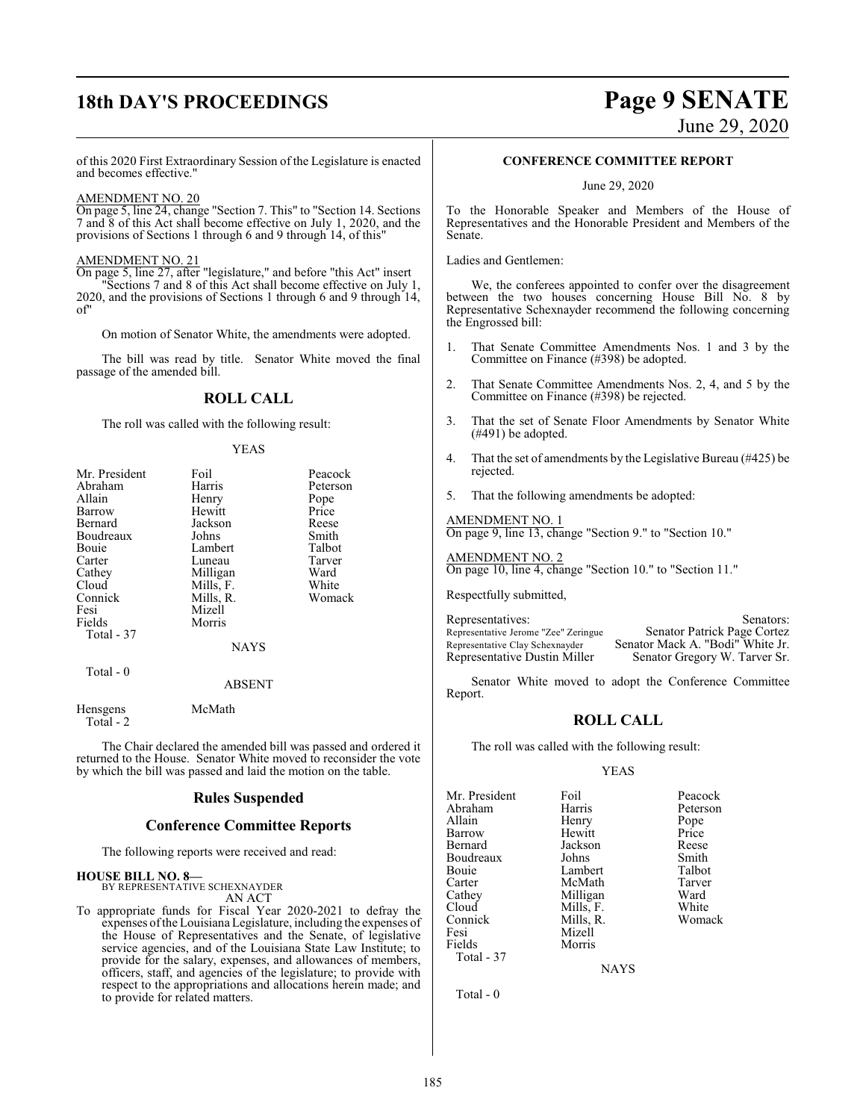## **18th DAY'S PROCEEDINGS Page 9 SENATE**

June 29, 2020

of this 2020 First Extraordinary Session of the Legislature is enacted and becomes effective."

#### AMENDMENT NO. 20

On page 5, line 24, change "Section 7. This" to "Section 14. Sections 7 and 8 of this Act shall become effective on July 1, 2020, and the provisions of Sections 1 through 6 and 9 through 14, of this"

#### AMENDMENT NO. 21

On page 5, line 27, after "legislature," and before "this Act" insert "Sections 7 and 8 of this Act shall become effective on July 1, 2020, and the provisions of Sections 1 through 6 and 9 through 14, of"

On motion of Senator White, the amendments were adopted.

The bill was read by title. Senator White moved the final passage of the amended bill.

### **ROLL CALL**

The roll was called with the following result:

#### YEAS

| Mr. President | Foil        | Peacock  |
|---------------|-------------|----------|
| Abraham       | Harris      | Peterson |
| Allain        | Henry       | Pope     |
| Barrow        | Hewitt      | Price    |
| Bernard       | Jackson     | Reese    |
| Boudreaux     | Johns       | Smith    |
| Bouie         | Lambert     | Talbot   |
| Carter        | Luneau      | Tarver   |
| Cathey        | Milligan    | Ward     |
| Cloud         | Mills, F.   | White    |
| Connick       | Mills, R.   | Womack   |
| Fesi          | Mizell      |          |
| Fields        | Morris      |          |
| Total - 37    |             |          |
|               | <b>NAYS</b> |          |
| Total - 0     | ABSENT      |          |
|               |             |          |

Hensgens McMath Total - 2

The Chair declared the amended bill was passed and ordered it returned to the House. Senator White moved to reconsider the vote by which the bill was passed and laid the motion on the table.

#### **Rules Suspended**

#### **Conference Committee Reports**

The following reports were received and read:

## **HOUSE BILL NO. 8—** BY REPRESENTATIVE SCHEXNAYDER

AN ACT

To appropriate funds for Fiscal Year 2020-2021 to defray the expenses ofthe Louisiana Legislature, including the expenses of the House of Representatives and the Senate, of legislative service agencies, and of the Louisiana State Law Institute; to provide for the salary, expenses, and allowances of members, officers, staff, and agencies of the legislature; to provide with respect to the appropriations and allocations herein made; and to provide for related matters.

#### **CONFERENCE COMMITTEE REPORT**

June 29, 2020

To the Honorable Speaker and Members of the House of Representatives and the Honorable President and Members of the Senate.

Ladies and Gentlemen:

We, the conferees appointed to confer over the disagreement between the two houses concerning House Bill No. 8 by Representative Schexnayder recommend the following concerning the Engrossed bill:

- 1. That Senate Committee Amendments Nos. 1 and 3 by the Committee on Finance (#398) be adopted.
- 2. That Senate Committee Amendments Nos. 2, 4, and 5 by the Committee on Finance (#398) be rejected.
- 3. That the set of Senate Floor Amendments by Senator White (#491) be adopted.
- 4. That the set of amendments by the Legislative Bureau (#425) be rejected.
- 5. That the following amendments be adopted:

AMENDMENT NO. 1 On page 9, line 13, change "Section 9." to "Section 10."

AMENDMENT NO. 2 On page 10, line 4, change "Section 10." to "Section 11."

Respectfully submitted,

Representatives: Senators: Senators:<br>Representative Jerome "Zee" Zeringue Senator Patrick Page Cortez Representative Jerome "Zee" Zeringue<br>Representative Clay Schexnayder Representative Clay Schexnayder Senator Mack A. "Bodi" White Jr.<br>Representative Dustin Miller Senator Gregory W. Tarver Sr. Senator Gregory W. Tarver Sr.

Senator White moved to adopt the Conference Committee Report.

#### **ROLL CALL**

The roll was called with the following result:

#### YEAS

| Mr. President | Foil      | Peacock  |
|---------------|-----------|----------|
| Abraham       | Harris    | Peterson |
| Allain        | Henry     | Pope     |
| Barrow        | Hewitt    | Price    |
| Bernard       | Jackson   | Reese    |
| Boudreaux     | Johns     | Smith    |
| Bouie         | Lambert   | Talbot   |
| Carter        | McMath    | Tarver   |
| Cathey        | Milligan  | Ward     |
| Cloud         | Mills, F. | White    |
| Connick       | Mills, R. | Womack   |
| Fesi          | Mizell    |          |
| Fields        | Morris    |          |
| Total - 37    |           |          |

**NAYS** 

Total - 0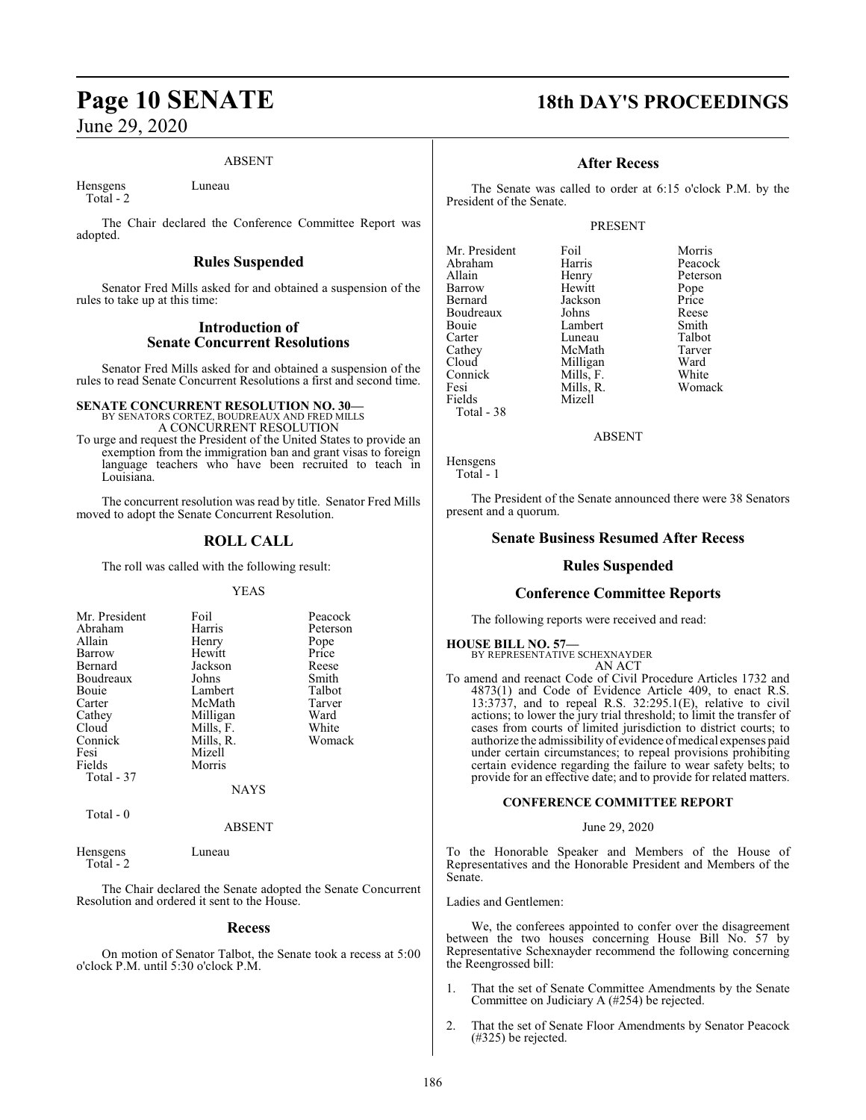#### ABSENT

Hensgens Luneau Total - 2

The Chair declared the Conference Committee Report was adopted.

#### **Rules Suspended**

Senator Fred Mills asked for and obtained a suspension of the rules to take up at this time:

### **Introduction of Senate Concurrent Resolutions**

Senator Fred Mills asked for and obtained a suspension of the rules to read Senate Concurrent Resolutions a first and second time.

#### **SENATE CONCURRENT RESOLUTION NO. 30—** BY SENATORS CORTEZ, BOUDREAUX AND FRED MILLS A CONCURRENT RESOLUTION

To urge and request the President of the United States to provide an exemption from the immigration ban and grant visas to foreign language teachers who have been recruited to teach in Louisiana.

The concurrent resolution was read by title. Senator Fred Mills moved to adopt the Senate Concurrent Resolution.

### **ROLL CALL**

The roll was called with the following result:

#### YEAS

| Mr. President | Foil        | Peacock  |
|---------------|-------------|----------|
| Abraham       | Harris      | Peterson |
| Allain        | Henry       | Pope     |
| Barrow        | Hewitt      | Price    |
| Bernard       | Jackson     | Reese    |
| Boudreaux     | Johns       | Smith    |
| Bouie         | Lambert     | Talbot   |
| Carter        | McMath      | Tarver   |
| Cathey        | Milligan    | Ward     |
| Cloud         | Mills, F.   | White    |
| Connick       | Mills, R.   | Womack   |
| Fesi          | Mizell      |          |
| Fields        | Morris      |          |
| Total - 37    |             |          |
|               | <b>NAYS</b> |          |

Total - 0

ABSENT

Hensgens Luneau Total - 2

The Chair declared the Senate adopted the Senate Concurrent Resolution and ordered it sent to the House.

#### **Recess**

On motion of Senator Talbot, the Senate took a recess at 5:00 o'clock P.M. until 5:30 o'clock P.M.

## **Page 10 SENATE 18th DAY'S PROCEEDINGS**

#### **After Recess**

The Senate was called to order at 6:15 o'clock P.M. by the President of the Senate.

#### PRESENT

| Mr. President | Foil      | Morris   |
|---------------|-----------|----------|
| Abraham       | Harris    | Peacock  |
| Allain        | Henry     | Peterson |
| Barrow        | Hewitt    | Pope     |
| Bernard       | Jackson   | Price    |
| Boudreaux     | Johns     | Reese    |
| Bouie         | Lambert   | Smith    |
| Carter        | Luneau    | Talbot   |
| Cathey        | McMath    | Tarver   |
| Cloud         | Milligan  | Ward     |
| Connick       | Mills, F. | White    |
| Fesi          | Mills, R. | Womack   |
| Fields        | Mizell    |          |
| $Total - 38$  |           |          |

#### ABSENT

Hensgens Total - 1

The President of the Senate announced there were 38 Senators present and a quorum.

#### **Senate Business Resumed After Recess**

### **Rules Suspended**

#### **Conference Committee Reports**

The following reports were received and read:

#### **HOUSE BILL NO. 57—**

BY REPRESENTATIVE SCHEXNAYDER AN ACT

To amend and reenact Code of Civil Procedure Articles 1732 and 4873(1) and Code of Evidence Article 409, to enact R.S. 13:3737, and to repeal R.S. 32:295.1(E), relative to civil actions; to lower the jury trial threshold; to limit the transfer of cases from courts of limited jurisdiction to district courts; to authorize the admissibility of evidence ofmedical expenses paid under certain circumstances; to repeal provisions prohibiting certain evidence regarding the failure to wear safety belts; to provide for an effective date; and to provide for related matters.

#### **CONFERENCE COMMITTEE REPORT**

#### June 29, 2020

To the Honorable Speaker and Members of the House of Representatives and the Honorable President and Members of the Senate.

Ladies and Gentlemen:

We, the conferees appointed to confer over the disagreement between the two houses concerning House Bill No. 57 by Representative Schexnayder recommend the following concerning the Reengrossed bill:

- 1. That the set of Senate Committee Amendments by the Senate Committee on Judiciary A (#254) be rejected.
- 2. That the set of Senate Floor Amendments by Senator Peacock (#325) be rejected.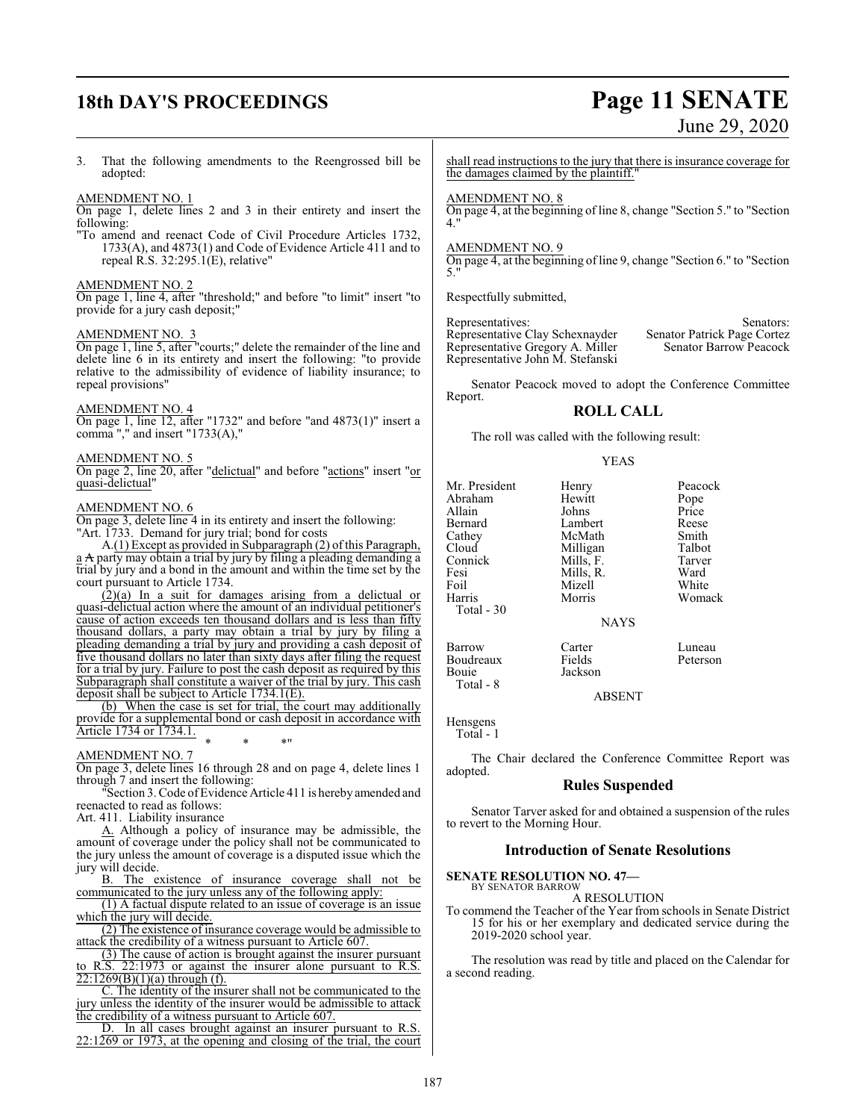## **18th DAY'S PROCEEDINGS Page 11 SENATE**

# June 29, 2020

3. That the following amendments to the Reengrossed bill be adopted:

#### AMENDMENT NO. 1

On page 1, delete lines 2 and 3 in their entirety and insert the following:

"To amend and reenact Code of Civil Procedure Articles 1732, 1733(A), and 4873(1) and Code of Evidence Article 411 and to repeal R.S. 32:295.1(E), relative"

#### AMENDMENT NO. 2

On page 1, line 4, after "threshold;" and before "to limit" insert "to provide for a jury cash deposit;"

### AMENDMENT NO. 3

On page 1, line 5, after "courts;" delete the remainder of the line and delete line 6 in its entirety and insert the following: "to provide relative to the admissibility of evidence of liability insurance; to repeal provisions"

#### AMENDMENT NO. 4

On page 1, line 12, after "1732" and before "and 4873(1)" insert a comma "," and insert "1733(A),"

#### AMENDMENT NO. 5

On page 2, line 20, after "delictual" and before "actions" insert "or quasi-delictual"

#### AMENDMENT NO. 6

On page 3, delete line 4 in its entirety and insert the following: "Art. 1733. Demand for jury trial; bond for costs

A.(1) Except as provided in Subparagraph (2) of this Paragraph, a A party may obtain a trial by jury by filing a pleading demanding a trial by jury and a bond in the amount and within the time set by the court pursuant to Article 1734.

 $(2)(a)$  In a suit for damages arising from a delictual or quasi-delictual action where the amount of an individual petitioner's cause of action exceeds ten thousand dollars and is less than fifty thousand dollars, a party may obtain a trial by jury by filing a pleading demanding a trial by jury and providing a cash deposit of five thousand dollars no later than sixty days after filing the request for a trial by jury. Failure to post the cash deposit as required by this Subparagraph shall constitute a waiver of the trial by jury. This cash deposit shall be subject to Article 1734.1(E).

(b) When the case is set for trial, the court may additionally provide for a supplemental bond or cash deposit in accordance with Article 1734 or 1734.1. \* \* \*"

#### AMENDMENT NO. 7

On page 3, delete lines 16 through 28 and on page 4, delete lines 1 through 7 and insert the following:

"Section 3. Code ofEvidence Article 411 is hereby amended and reenacted to read as follows:

Art. 411. Liability insurance

A. Although a policy of insurance may be admissible, the amount of coverage under the policy shall not be communicated to the jury unless the amount of coverage is a disputed issue which the

jury will decide.<br>B. The e The existence of insurance coverage shall not be communicated to the jury unless any of the following apply:

(1) A factual dispute related to an issue of coverage is an issue which the jury will decide.

(2) The existence of insurance coverage would be admissible to attack the credibility of a witness pursuant to Article 607.

(3) The cause of action is brought against the insurer pursuant to R.S. 22:1973 or against the insurer alone pursuant to R.S.  $22:1269(B)(1)(a)$  through (f).

C. The identity of the insurer shall not be communicated to the jury unless the identity of the insurer would be admissible to attack the credibility of a witness pursuant to Article 607.

D. In all cases brought against an insurer pursuant to R.S. 22:1269 or 1973, at the opening and closing of the trial, the court shall read instructions to the jury that there is insurance coverage for the damages claimed by the plaintiff."

#### AMENDMENT NO. 8

On page 4, at the beginning of line 8, change "Section 5." to "Section  $\mathbf{A}$ 

#### AMENDMENT NO. 9

On page 4, at the beginning of line 9, change "Section 6." to "Section 5."

Respectfully submitted,

Representatives:<br>Representative Clay Schexnayder Senator Patrick Page Cortez Representative Clay Schexnayder Senator Patrick Page Cortez Representative Gregory A. Miller Representative John M. Stefanski

Senator Peacock moved to adopt the Conference Committee Report.

#### **ROLL CALL**

The roll was called with the following result:

#### YEAS

Mr. President Henry Peacock<br>
Abraham Hewitt Pope Abraham Hewitt Pope<br>Allain Johns Price Allain Johns Price Bernard Lambert Reese<br>Cathey McMath Smith Cloud Milligan Talbot<br>Connick Mills, F. Tarver Connick Mills, F. Tarve<br>
Fesi Mills, R. Ward Fesi Mills, R. Ward Foil Mizell<br>
Harris Morris Total - 30

McMath Smith<br>
Milligan Talbot Womack

#### NAYS

Barrow Carter Luneau Boudreaux Fields Peterson

ABSENT

Jackson

Hensgens

Total - 8

Total - 1

The Chair declared the Conference Committee Report was adopted.

#### **Rules Suspended**

Senator Tarver asked for and obtained a suspension of the rules to revert to the Morning Hour.

#### **Introduction of Senate Resolutions**

**SENATE RESOLUTION NO. 47—** BY SENATOR BARROW

A RESOLUTION

To commend the Teacher of the Year from schools in Senate District 15 for his or her exemplary and dedicated service during the 2019-2020 school year.

The resolution was read by title and placed on the Calendar for a second reading.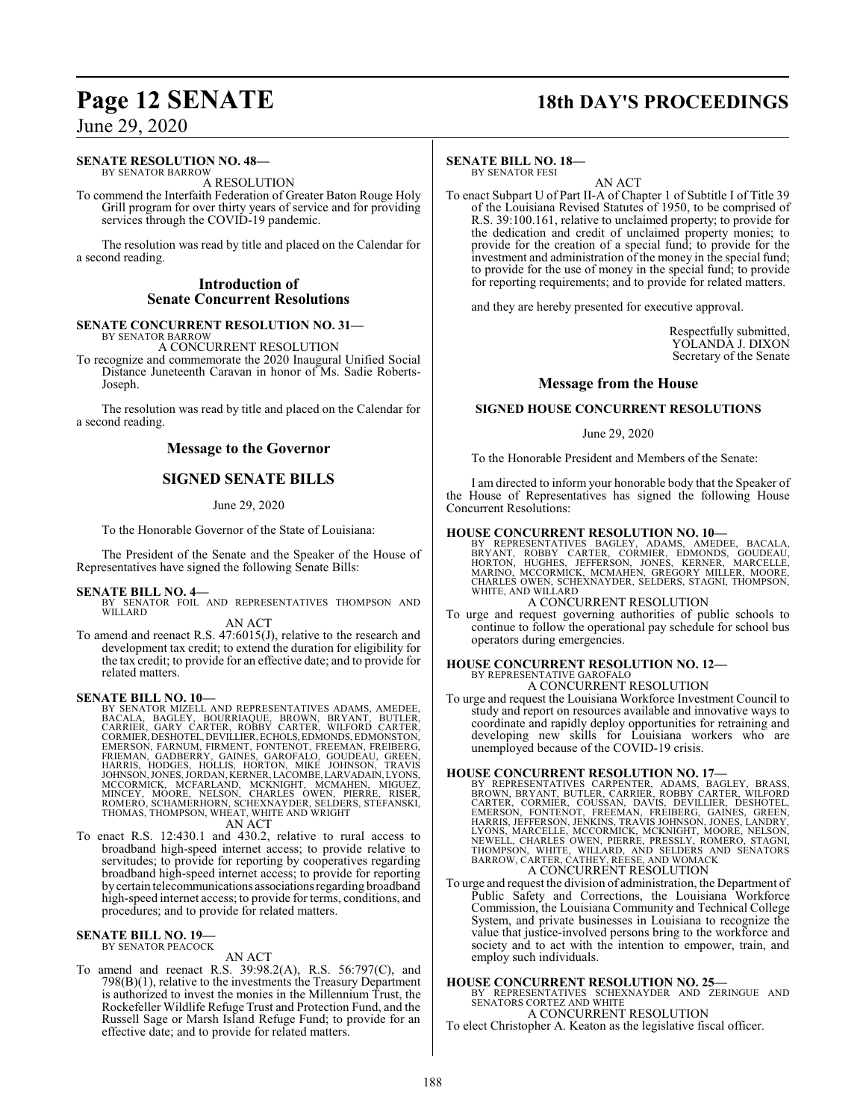## **Page 12 SENATE 18th DAY'S PROCEEDINGS**

### June 29, 2020

#### **SENATE RESOLUTION NO. 48—** BY SENATOR BARROW

A RESOLUTION

To commend the Interfaith Federation of Greater Baton Rouge Holy Grill program for over thirty years of service and for providing services through the COVID-19 pandemic.

The resolution was read by title and placed on the Calendar for a second reading.

#### **Introduction of Senate Concurrent Resolutions**

#### **SENATE CONCURRENT RESOLUTION NO. 31—** BY SENATOR BARROW

A CONCURRENT RESOLUTION

To recognize and commemorate the 2020 Inaugural Unified Social Distance Juneteenth Caravan in honor of Ms. Sadie Roberts-Joseph.

The resolution was read by title and placed on the Calendar for a second reading.

#### **Message to the Governor**

### **SIGNED SENATE BILLS**

#### June 29, 2020

To the Honorable Governor of the State of Louisiana:

The President of the Senate and the Speaker of the House of Representatives have signed the following Senate Bills:

#### **SENATE BILL NO. 4—**

BY SENATOR FOIL AND REPRESENTATIVES THOMPSON AND WILLARD

AN ACT

To amend and reenact R.S. 47:6015(J), relative to the research and development tax credit; to extend the duration for eligibility for the tax credit; to provide for an effective date; and to provide for related matters.

**SENATE BILL NO. 10—**<br>BY SENATOR MIZELL AND REPRESENTATIVES ADAMS, AMEDEE,<br>BACALA, BAGLEY, BOURRIAQUE, BROWN, BRYANT, BUTLER,<br>CARRIER, GARY CARTER, ROBBY CARTER, WILFORD CARTER,<br>CORMIER, DESHOTEL, DEVILLIER, ECHOLS, EDMOND THOMAS, THOMPSON, WHEAT, WHITE AND WRIGHT

AN ACT

To enact R.S. 12:430.1 and 430.2, relative to rural access to broadband high-speed internet access; to provide relative to servitudes; to provide for reporting by cooperatives regarding broadband high-speed internet access; to provide for reporting bycertain telecommunications associationsregarding broadband high-speed internet access; to provide for terms, conditions, and procedures; and to provide for related matters.

#### **SENATE BILL NO. 19—**

BY SENATOR PEACOCK AN ACT

To amend and reenact R.S. 39:98.2(A), R.S. 56:797(C), and 798(B)(1), relative to the investments the Treasury Department is authorized to invest the monies in the Millennium Trust, the Rockefeller Wildlife Refuge Trust and Protection Fund, and the Russell Sage or Marsh Island Refuge Fund; to provide for an effective date; and to provide for related matters.

#### **SENATE BILL NO. 18—** BY SENATOR FESI

AN ACT

To enact Subpart U of Part II-A of Chapter 1 of Subtitle I of Title 39 of the Louisiana Revised Statutes of 1950, to be comprised of R.S. 39:100.161, relative to unclaimed property; to provide for the dedication and credit of unclaimed property monies; to provide for the creation of a special fund; to provide for the investment and administration of the money in the special fund; to provide for the use of money in the special fund; to provide for reporting requirements; and to provide for related matters.

and they are hereby presented for executive approval.

Respectfully submitted, YOLANDA J. DIXON Secretary of the Senate

#### **Message from the House**

#### **SIGNED HOUSE CONCURRENT RESOLUTIONS**

#### June 29, 2020

To the Honorable President and Members of the Senate:

I am directed to inform your honorable body that the Speaker of the House of Representatives has signed the following House Concurrent Resolutions:

#### **HOUSE CONCURRENT RESOLUTION NO. 10—**

BY REPRESENTATIVES BAGLEY, ADAMS, AMEDEE, BACALA,<br>BRYANT, ROBBY CARTER, CORMIER, EDMONDS, GOUDEAU,<br>HORTON, HUGHES, JEFFERSON, JONES, KERNER, MARCELLE,<br>MARINO, MCCORMICK, MCMAHEN, GREGORY MILLER, MOORE, CHARLES OWEN, SCHEXNAYDER, SELDERS, STAGNI, THOMPSON, WHITE, AND WILLARD

#### A CONCURRENT RESOLUTION

To urge and request governing authorities of public schools to continue to follow the operational pay schedule for school bus operators during emergencies.

#### **HOUSE CONCURRENT RESOLUTION NO. 12—** BY REPRESENTATIVE GAROFALO

A CONCURRENT RESOLUTION

To urge and request the Louisiana Workforce Investment Council to study and report on resources available and innovative ways to coordinate and rapidly deploy opportunities for retraining and developing new skills for Louisiana workers who are unemployed because of the COVID-19 crisis.

HOUSE CONCURRENT RESOLUTION NO. 17—<br>BY REPRESENTATIVES CARPENTER, ADAMS, BAGGLEY, BRASS, BROWN, BRYANT, BUTLER, CARRIER, ROBBY CARTER, WILFORD<br>CARTER, CORMIER, COUSSAN, DAVIS, DEVILLIER, DESHOTEL,<br>EMERSON, FONTENOT, FREEMA

To urge and request the division of administration, the Department of Public Safety and Corrections, the Louisiana Workforce Commission, the Louisiana Community and Technical College System, and private businesses in Louisiana to recognize the value that justice-involved persons bring to the workforce and society and to act with the intention to empower, train, and employ such individuals.

#### **HOUSE CONCURRENT RESOLUTION NO. 25—**

BY REPRESENTATIVES SCHEXNAYDER AND ZERINGUE AND SENATORS CORTEZ AND WHITE A CONCURRENT RESOLUTION

To elect Christopher A. Keaton as the legislative fiscal officer.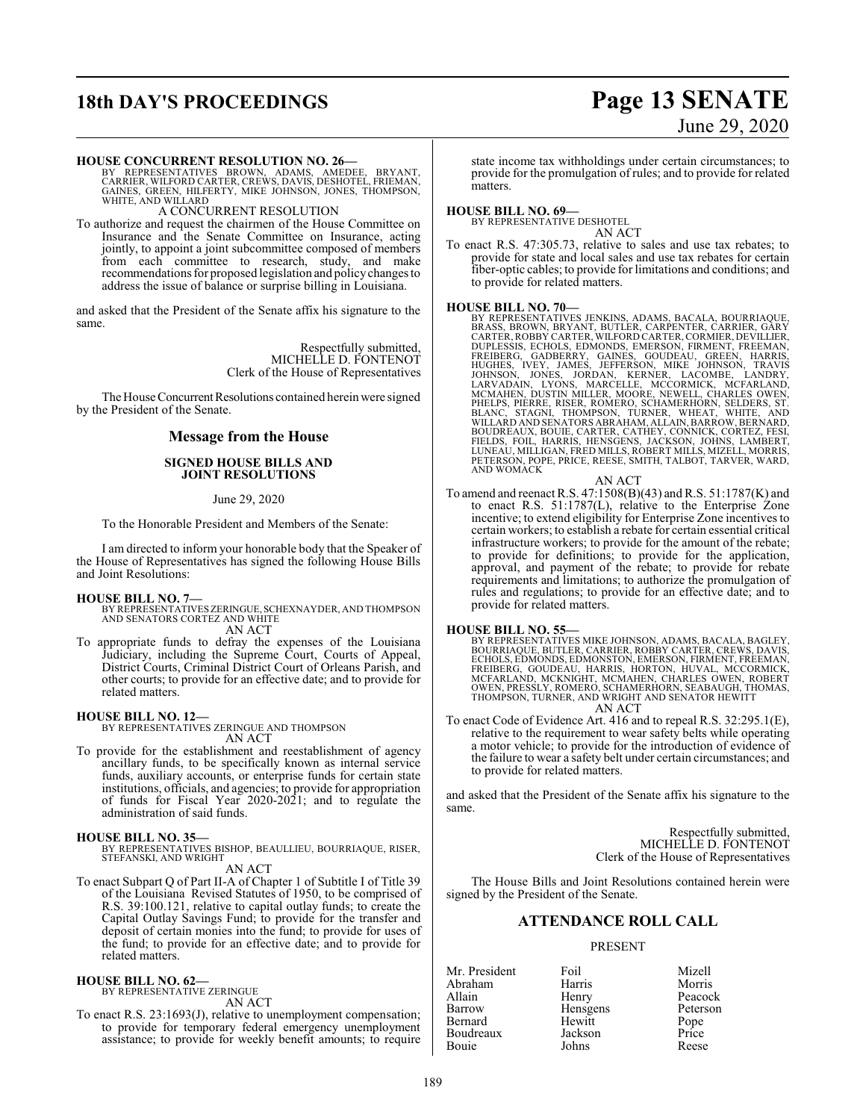## **18th DAY'S PROCEEDINGS Page 13 SENATE**

# June 29, 2020

**HOUSE CONCURRENT RESOLUTION NO. 26—**<br>BY REPRESENTATIVES BROWN, ADAMS, AMEDEE, BRYANT,<br>CARRIER, WILFORD CARTER, CREWS, DAVIS, DESHOTEL, FRIEMAN,<br>GAINES, GREEN, HILFERTY, MIKE JOHNSON, JONES, THOMPSON, WHITE, AND WILLARD A CONCURRENT RESOLUTION

To authorize and request the chairmen of the House Committee on Insurance and the Senate Committee on Insurance, acting jointly, to appoint a joint subcommittee composed of members from each committee to research, study, and make recommendations for proposed legislation and policy changes to address the issue of balance or surprise billing in Louisiana.

and asked that the President of the Senate affix his signature to the same.

> Respectfully submitted, MICHELLE D. FONTENOT Clerk of the House of Representatives

The House Concurrent Resolutions contained herein were signed by the President of the Senate.

#### **Message from the House**

#### **SIGNED HOUSE BILLS AND JOINT RESOLUTIONS**

#### June 29, 2020

To the Honorable President and Members of the Senate:

I am directed to inform your honorable body that the Speaker of the House of Representatives has signed the following House Bills and Joint Resolutions:

**HOUSE BILL NO. 7—** BY REPRESENTATIVESZERINGUE, SCHEXNAYDER, AND THOMPSON AND SENATORS CORTEZ AND WHITE AN ACT

To appropriate funds to defray the expenses of the Louisiana Judiciary, including the Supreme Court, Courts of Appeal, District Courts, Criminal District Court of Orleans Parish, and other courts; to provide for an effective date; and to provide for related matters.

#### **HOUSE BILL NO. 12—**

BY REPRESENTATIVES ZERINGUE AND THOMPSON AN ACT

To provide for the establishment and reestablishment of agency ancillary funds, to be specifically known as internal service funds, auxiliary accounts, or enterprise funds for certain state institutions, officials, and agencies; to provide for appropriation of funds for Fiscal Year 2020-2021; and to regulate the administration of said funds.

**HOUSE BILL NO. 35—** BY REPRESENTATIVES BISHOP, BEAULLIEU, BOURRIAQUE, RISER, STEFANSKI, AND WRIGHT

AN ACT

To enact Subpart Q of Part II-A of Chapter 1 of Subtitle I of Title 39 of the Louisiana Revised Statutes of 1950, to be comprised of R.S. 39:100.121, relative to capital outlay funds; to create the Capital Outlay Savings Fund; to provide for the transfer and deposit of certain monies into the fund; to provide for uses of the fund; to provide for an effective date; and to provide for related matters.

#### **HOUSE BILL NO. 62—** BY REPRESENTATIVE ZERINGUE

AN ACT

To enact R.S. 23:1693(J), relative to unemployment compensation; to provide for temporary federal emergency unemployment assistance; to provide for weekly benefit amounts; to require state income tax withholdings under certain circumstances; to provide for the promulgation of rules; and to provide for related matters.

#### **HOUSE BILL NO. 69—**

BY REPRESENTATIVE DESHOTEL AN ACT

To enact R.S. 47:305.73, relative to sales and use tax rebates; to provide for state and local sales and use tax rebates for certain fiber-optic cables; to provide for limitations and conditions; and to provide for related matters.

HOUSE BILL NO. 70—<br>BY REPRESENTATIVES JENKINS, ADAMS, BACALA, BOURRIAQUE,<br>BRASS, BROWN, BRYANT, BUTLER, CARPENTER, CARRIER, GARY<br>CARTER, ROBBY CARTER, WILFORD CARTER, CORMIER, DEVILLIER,<br>DUPLESSIS, ECHOLS, EDMONDS, EMERSON BOUDREAUX, BOUIE, CARTER, CATHEY, CONNICK, CORTEZ, FESI,<br>FIELDS, FOIL, HARRIS, HENSGENS, JACKSON, JOHNS, LAMBERT,<br>LUNEAU, MILLIGAN, FRED MILLS, ROBERT MILLS, MIZELL, MORRIS,<br>PETERSON, POPE, PRICE, REESE, SMITH, TALBOT, TAR AND WOMACK

AN ACT

To amend and reenact R.S. 47:1508(B)(43) and R.S. 51:1787(K) and to enact R.S. 51:1787(L), relative to the Enterprise Zone incentive; to extend eligibility for Enterprise Zone incentives to certain workers; to establish a rebate for certain essential critical infrastructure workers; to provide for the amount of the rebate; to provide for definitions; to provide for the application, approval, and payment of the rebate; to provide for rebate requirements and limitations; to authorize the promulgation of rules and regulations; to provide for an effective date; and to provide for related matters.

**HOUSE BILL NO. 55—**<br>BY REPRESENTATIVES MIKE JOHNSON, ADAMS, BACALA, BAGLEY, BOURRIAQUE, BUTLER, CARRIER, ROBBY CARTER, CREWS, DAVIS,<br>ECHOLS, EDMONDS, EDMONSTON, EMERSON, FIRMENT, FREEMAN,<br>FREIBERG, GOUDEAU, HARRIS, HORTON AN ACT

To enact Code of Evidence Art. 416 and to repeal R.S. 32:295.1(E), relative to the requirement to wear safety belts while operating a motor vehicle; to provide for the introduction of evidence of the failure to wear a safety belt under certain circumstances; and to provide for related matters.

and asked that the President of the Senate affix his signature to the same.

> Respectfully submitted, MICHELLE D. FONTENOT Clerk of the House of Representatives

The House Bills and Joint Resolutions contained herein were signed by the President of the Senate.

#### **ATTENDANCE ROLL CALL**

#### PRESENT

Mr. President Foil Mizell Abraham Harris Morris Allain **Henry** Peacock<br> **Rarrow** Hensgens Peterson Hensgens Bernard Hewitt Pope Boudreaux Jackson Price Bouie Johns Reese